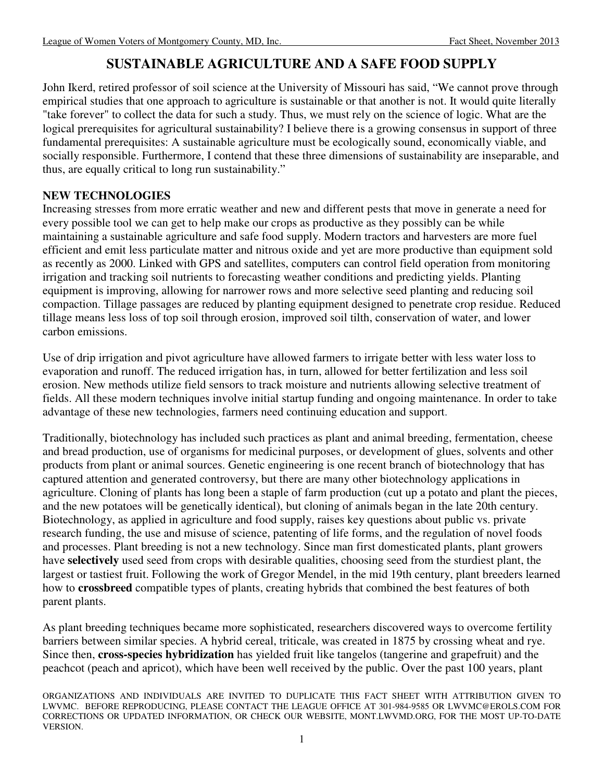# **SUSTAINABLE AGRICULTURE AND A SAFE FOOD SUPPLY**

John Ikerd, retired professor of soil science at the University of Missouri has said, "We cannot prove through empirical studies that one approach to agriculture is sustainable or that another is not. It would quite literally "take forever" to collect the data for such a study. Thus, we must rely on the science of logic. What are the logical prerequisites for agricultural sustainability? I believe there is a growing consensus in support of three fundamental prerequisites: A sustainable agriculture must be ecologically sound, economically viable, and socially responsible. Furthermore, I contend that these three dimensions of sustainability are inseparable, and thus, are equally critical to long run sustainability."

### **NEW TECHNOLOGIES**

Increasing stresses from more erratic weather and new and different pests that move in generate a need for every possible tool we can get to help make our crops as productive as they possibly can be while maintaining a sustainable agriculture and safe food supply. Modern tractors and harvesters are more fuel efficient and emit less particulate matter and nitrous oxide and yet are more productive than equipment sold as recently as 2000. Linked with GPS and satellites, computers can control field operation from monitoring irrigation and tracking soil nutrients to forecasting weather conditions and predicting yields. Planting equipment is improving, allowing for narrower rows and more selective seed planting and reducing soil compaction. Tillage passages are reduced by planting equipment designed to penetrate crop residue. Reduced tillage means less loss of top soil through erosion, improved soil tilth, conservation of water, and lower carbon emissions.

Use of drip irrigation and pivot agriculture have allowed farmers to irrigate better with less water loss to evaporation and runoff. The reduced irrigation has, in turn, allowed for better fertilization and less soil erosion. New methods utilize field sensors to track moisture and nutrients allowing selective treatment of fields. All these modern techniques involve initial startup funding and ongoing maintenance. In order to take advantage of these new technologies, farmers need continuing education and support.

Traditionally, biotechnology has included such practices as plant and animal breeding, fermentation, cheese and bread production, use of organisms for medicinal purposes, or development of glues, solvents and other products from plant or animal sources. Genetic engineering is one recent branch of biotechnology that has captured attention and generated controversy, but there are many other biotechnology applications in agriculture. Cloning of plants has long been a staple of farm production (cut up a potato and plant the pieces, and the new potatoes will be genetically identical), but cloning of animals began in the late 20th century. Biotechnology, as applied in agriculture and food supply, raises key questions about public vs. private research funding, the use and misuse of science, patenting of life forms, and the regulation of novel foods and processes. Plant breeding is not a new technology. Since man first domesticated plants, plant growers have **selectively** used seed from crops with desirable qualities, choosing seed from the sturdiest plant, the largest or tastiest fruit. Following the work of Gregor Mendel, in the mid 19th century, plant breeders learned how to **crossbreed** compatible types of plants, creating hybrids that combined the best features of both parent plants.

As plant breeding techniques became more sophisticated, researchers discovered ways to overcome fertility barriers between similar species. A hybrid cereal, triticale, was created in 1875 by crossing wheat and rye. Since then, **cross-species hybridization** has yielded fruit like tangelos (tangerine and grapefruit) and the peachcot (peach and apricot), which have been well received by the public. Over the past 100 years, plant

ORGANIZATIONS AND INDIVIDUALS ARE INVITED TO DUPLICATE THIS FACT SHEET WITH ATTRIBUTION GIVEN TO LWVMC. BEFORE REPRODUCING, PLEASE CONTACT THE LEAGUE OFFICE AT 301-984-9585 OR LWVMC@EROLS.COM FOR CORRECTIONS OR UPDATED INFORMATION, OR CHECK OUR WEBSITE, MONT.LWVMD.ORG, FOR THE MOST UP-TO-DATE VERSION.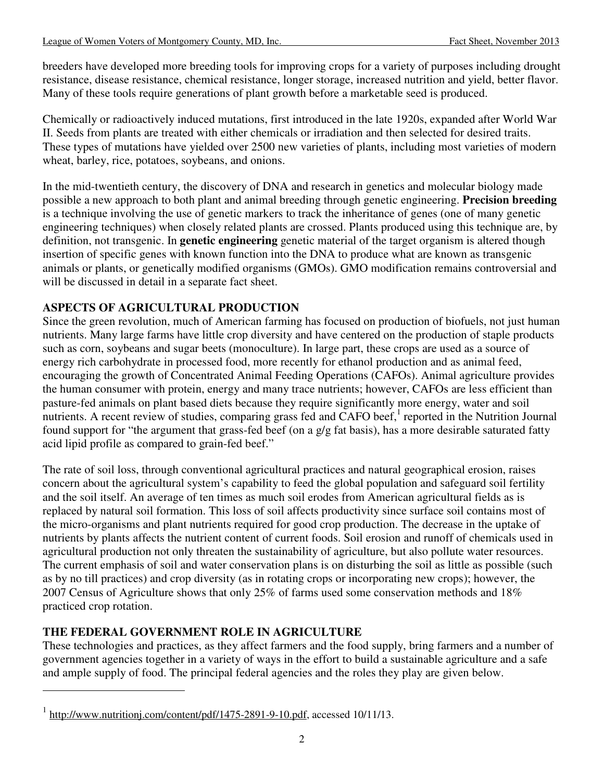breeders have developed more breeding tools for improving crops for a variety of purposes including drought resistance, disease resistance, chemical resistance, longer storage, increased nutrition and yield, better flavor. Many of these tools require generations of plant growth before a marketable seed is produced.

Chemically or radioactively induced mutations, first introduced in the late 1920s, expanded after World War II. Seeds from plants are treated with either chemicals or irradiation and then selected for desired traits. These types of mutations have yielded over 2500 new varieties of plants, including most varieties of modern wheat, barley, rice, potatoes, soybeans, and onions.

In the mid-twentieth century, the discovery of DNA and research in genetics and molecular biology made possible a new approach to both plant and animal breeding through genetic engineering. **Precision breeding** is a technique involving the use of genetic markers to track the inheritance of genes (one of many genetic engineering techniques) when closely related plants are crossed. Plants produced using this technique are, by definition, not transgenic. In **genetic engineering** genetic material of the target organism is altered though insertion of specific genes with known function into the DNA to produce what are known as transgenic animals or plants, or genetically modified organisms (GMOs). GMO modification remains controversial and will be discussed in detail in a separate fact sheet.

## **ASPECTS OF AGRICULTURAL PRODUCTION**

Since the green revolution, much of American farming has focused on production of biofuels, not just human nutrients. Many large farms have little crop diversity and have centered on the production of staple products such as corn, soybeans and sugar beets (monoculture). In large part, these crops are used as a source of energy rich carbohydrate in processed food, more recently for ethanol production and as animal feed, encouraging the growth of Concentrated Animal Feeding Operations (CAFOs). Animal agriculture provides the human consumer with protein, energy and many trace nutrients; however, CAFOs are less efficient than pasture-fed animals on plant based diets because they require significantly more energy, water and soil nutrients. A recent review of studies, comparing grass fed and CAFO beef, $<sup>1</sup>$  reported in the Nutrition Journal</sup> found support for "the argument that grass-fed beef (on a g/g fat basis), has a more desirable saturated fatty acid lipid profile as compared to grain-fed beef."

The rate of soil loss, through conventional agricultural practices and natural geographical erosion, raises concern about the agricultural system's capability to feed the global population and safeguard soil fertility and the soil itself. An average of ten times as much soil erodes from American agricultural fields as is replaced by natural soil formation. This loss of soil affects productivity since surface soil contains most of the micro-organisms and plant nutrients required for good crop production. The decrease in the uptake of nutrients by plants affects the nutrient content of current foods. Soil erosion and runoff of chemicals used in agricultural production not only threaten the sustainability of agriculture, but also pollute water resources. The current emphasis of soil and water conservation plans is on disturbing the soil as little as possible (such as by no till practices) and crop diversity (as in rotating crops or incorporating new crops); however, the 2007 Census of Agriculture shows that only 25% of farms used some conservation methods and 18% practiced crop rotation.

# **THE FEDERAL GOVERNMENT ROLE IN AGRICULTURE**

 $\overline{a}$ 

These technologies and practices, as they affect farmers and the food supply, bring farmers and a number of government agencies together in a variety of ways in the effort to build a sustainable agriculture and a safe and ample supply of food. The principal federal agencies and the roles they play are given below.

 $1$  http://www.nutritionj.com/content/pdf/1475-2891-9-10.pdf, accessed 10/11/13.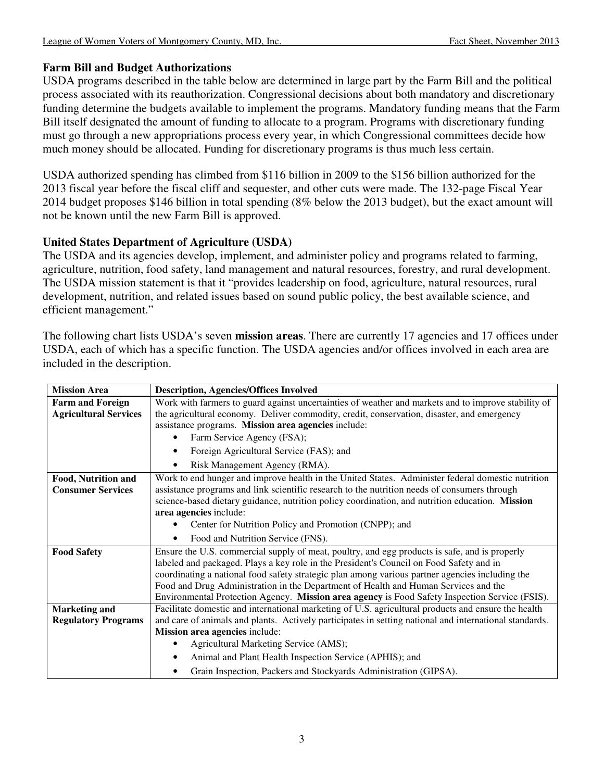### **Farm Bill and Budget Authorizations**

USDA programs described in the table below are determined in large part by the Farm Bill and the political process associated with its reauthorization. Congressional decisions about both mandatory and discretionary funding determine the budgets available to implement the programs. Mandatory funding means that the Farm Bill itself designated the amount of funding to allocate to a program. Programs with discretionary funding must go through a new appropriations process every year, in which Congressional committees decide how much money should be allocated. Funding for discretionary programs is thus much less certain.

USDA authorized spending has climbed from \$116 billion in 2009 to the \$156 billion authorized for the 2013 fiscal year before the fiscal cliff and sequester, and other cuts were made. The 132-page Fiscal Year 2014 budget proposes \$146 billion in total spending (8% below the 2013 budget), but the exact amount will not be known until the new Farm Bill is approved.

### **United States Department of Agriculture (USDA)**

The USDA and its agencies develop, implement, and administer policy and programs related to farming, agriculture, nutrition, food safety, land management and natural resources, forestry, and rural development. The USDA mission statement is that it "provides leadership on food, agriculture, natural resources, rural development, nutrition, and related issues based on sound public policy, the best available science, and efficient management."

| <b>Mission Area</b>          | <b>Description, Agencies/Offices Involved</b>                                                          |  |  |  |
|------------------------------|--------------------------------------------------------------------------------------------------------|--|--|--|
| <b>Farm and Foreign</b>      | Work with farmers to guard against uncertainties of weather and markets and to improve stability of    |  |  |  |
| <b>Agricultural Services</b> | the agricultural economy. Deliver commodity, credit, conservation, disaster, and emergency             |  |  |  |
|                              | assistance programs. Mission area agencies include:                                                    |  |  |  |
|                              | Farm Service Agency (FSA);                                                                             |  |  |  |
|                              | Foreign Agricultural Service (FAS); and                                                                |  |  |  |
|                              | Risk Management Agency (RMA).                                                                          |  |  |  |
| Food, Nutrition and          | Work to end hunger and improve health in the United States. Administer federal domestic nutrition      |  |  |  |
| <b>Consumer Services</b>     | assistance programs and link scientific research to the nutrition needs of consumers through           |  |  |  |
|                              | science-based dietary guidance, nutrition policy coordination, and nutrition education. Mission        |  |  |  |
|                              | area agencies include:                                                                                 |  |  |  |
|                              | Center for Nutrition Policy and Promotion (CNPP); and                                                  |  |  |  |
|                              | Food and Nutrition Service (FNS).                                                                      |  |  |  |
| <b>Food Safety</b>           | Ensure the U.S. commercial supply of meat, poultry, and egg products is safe, and is properly          |  |  |  |
|                              | labeled and packaged. Plays a key role in the President's Council on Food Safety and in                |  |  |  |
|                              | coordinating a national food safety strategic plan among various partner agencies including the        |  |  |  |
|                              | Food and Drug Administration in the Department of Health and Human Services and the                    |  |  |  |
|                              | Environmental Protection Agency. Mission area agency is Food Safety Inspection Service (FSIS).         |  |  |  |
| <b>Marketing and</b>         | Facilitate domestic and international marketing of U.S. agricultural products and ensure the health    |  |  |  |
| <b>Regulatory Programs</b>   | and care of animals and plants. Actively participates in setting national and international standards. |  |  |  |
|                              | Mission area agencies include:                                                                         |  |  |  |
|                              | Agricultural Marketing Service (AMS);                                                                  |  |  |  |
|                              | Animal and Plant Health Inspection Service (APHIS); and                                                |  |  |  |
|                              | Grain Inspection, Packers and Stockyards Administration (GIPSA).                                       |  |  |  |

The following chart lists USDA's seven **mission areas**. There are currently 17 agencies and 17 offices under USDA, each of which has a specific function. The USDA agencies and/or offices involved in each area are included in the description.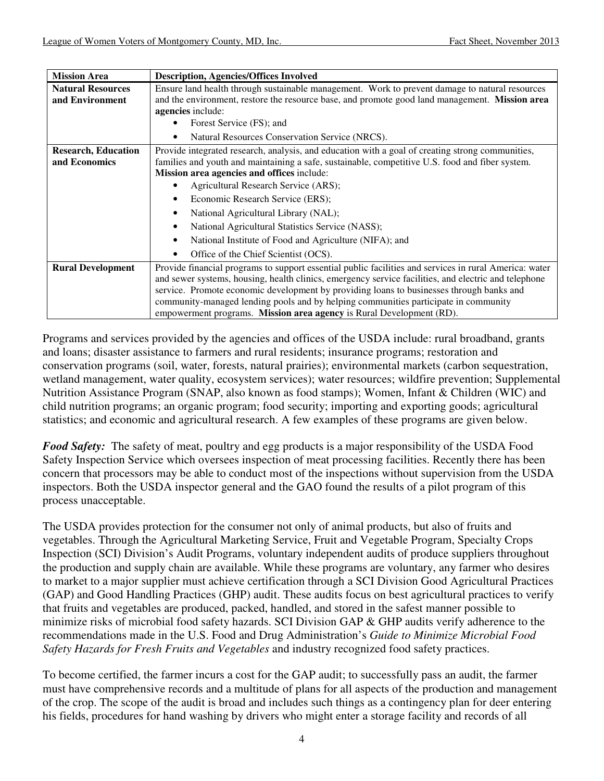| <b>Mission Area</b>                         | <b>Description, Agencies/Offices Involved</b>                                                                                                                                                                                                                                                                                                                                                                                                                                                                               |  |  |
|---------------------------------------------|-----------------------------------------------------------------------------------------------------------------------------------------------------------------------------------------------------------------------------------------------------------------------------------------------------------------------------------------------------------------------------------------------------------------------------------------------------------------------------------------------------------------------------|--|--|
| <b>Natural Resources</b><br>and Environment | Ensure land health through sustainable management. Work to prevent damage to natural resources<br>and the environment, restore the resource base, and promote good land management. Mission area<br>agencies include:<br>Forest Service (FS); and<br>Natural Resources Conservation Service (NRCS).                                                                                                                                                                                                                         |  |  |
| <b>Research, Education</b><br>and Economics | Provide integrated research, analysis, and education with a goal of creating strong communities,<br>families and youth and maintaining a safe, sustainable, competitive U.S. food and fiber system.<br>Mission area agencies and offices include:<br>Agricultural Research Service (ARS);<br>Economic Research Service (ERS);<br>National Agricultural Library (NAL);<br>National Agricultural Statistics Service (NASS);<br>National Institute of Food and Agriculture (NIFA); and<br>Office of the Chief Scientist (OCS). |  |  |
| <b>Rural Development</b>                    | Provide financial programs to support essential public facilities and services in rural America: water<br>and sewer systems, housing, health clinics, emergency service facilities, and electric and telephone<br>service. Promote economic development by providing loans to businesses through banks and<br>community-managed lending pools and by helping communities participate in community<br>empowerment programs. Mission area agency is Rural Development (RD).                                                   |  |  |

Programs and services provided by the agencies and offices of the USDA include: rural broadband, grants and loans; disaster assistance to farmers and rural residents; insurance programs; restoration and conservation programs (soil, water, forests, natural prairies); environmental markets (carbon sequestration, wetland management, water quality, ecosystem services); water resources; wildfire prevention; Supplemental Nutrition Assistance Program (SNAP, also known as food stamps); Women, Infant & Children (WIC) and child nutrition programs; an organic program; food security; importing and exporting goods; agricultural statistics; and economic and agricultural research. A few examples of these programs are given below.

*Food Safety:* The safety of meat, poultry and egg products is a major responsibility of the USDA Food Safety Inspection Service which oversees inspection of meat processing facilities. Recently there has been concern that processors may be able to conduct most of the inspections without supervision from the USDA inspectors. Both the USDA inspector general and the GAO found the results of a pilot program of this process unacceptable.

The USDA provides protection for the consumer not only of animal products, but also of fruits and vegetables. Through the Agricultural Marketing Service, Fruit and Vegetable Program, Specialty Crops Inspection (SCI) Division's Audit Programs, voluntary independent audits of produce suppliers throughout the production and supply chain are available. While these programs are voluntary, any farmer who desires to market to a major supplier must achieve certification through a SCI Division Good Agricultural Practices (GAP) and Good Handling Practices (GHP) audit. These audits focus on best agricultural practices to verify that fruits and vegetables are produced, packed, handled, and stored in the safest manner possible to minimize risks of microbial food safety hazards. SCI Division GAP & GHP audits verify adherence to the recommendations made in the U.S. Food and Drug Administration's *Guide to Minimize Microbial Food Safety Hazards for Fresh Fruits and Vegetables* and industry recognized food safety practices.

To become certified, the farmer incurs a cost for the GAP audit; to successfully pass an audit, the farmer must have comprehensive records and a multitude of plans for all aspects of the production and management of the crop. The scope of the audit is broad and includes such things as a contingency plan for deer entering his fields, procedures for hand washing by drivers who might enter a storage facility and records of all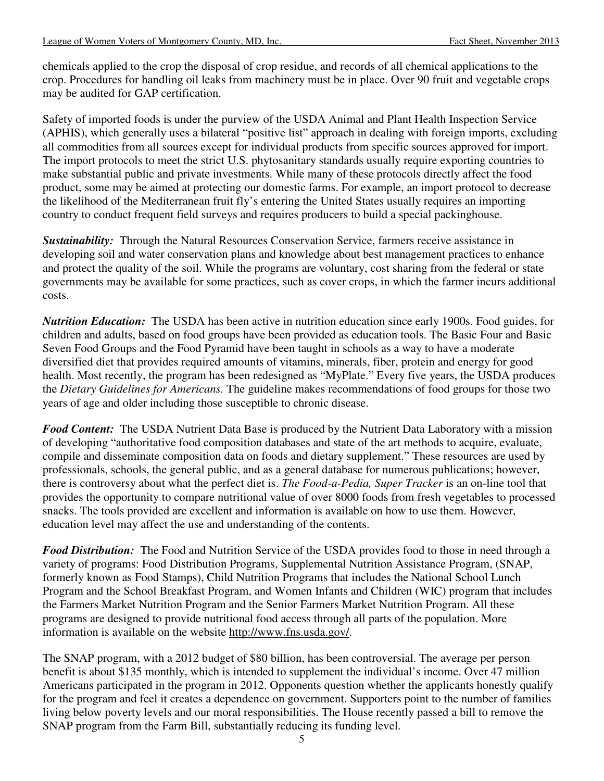chemicals applied to the crop the disposal of crop residue, and records of all chemical applications to the crop. Procedures for handling oil leaks from machinery must be in place. Over 90 fruit and vegetable crops may be audited for GAP certification.

Safety of imported foods is under the purview of the USDA Animal and Plant Health Inspection Service (APHIS), which generally uses a bilateral "positive list" approach in dealing with foreign imports, excluding all commodities from all sources except for individual products from specific sources approved for import. The import protocols to meet the strict U.S. phytosanitary standards usually require exporting countries to make substantial public and private investments. While many of these protocols directly affect the food product, some may be aimed at protecting our domestic farms. For example, an import protocol to decrease the likelihood of the Mediterranean fruit fly's entering the United States usually requires an importing country to conduct frequent field surveys and requires producers to build a special packinghouse.

**Sustainability:** Through the Natural Resources Conservation Service, farmers receive assistance in developing soil and water conservation plans and knowledge about best management practices to enhance and protect the quality of the soil. While the programs are voluntary, cost sharing from the federal or state governments may be available for some practices, such as cover crops, in which the farmer incurs additional costs.

*Nutrition Education:*The USDA has been active in nutrition education since early 1900s. Food guides, for children and adults, based on food groups have been provided as education tools. The Basic Four and Basic Seven Food Groups and the Food Pyramid have been taught in schools as a way to have a moderate diversified diet that provides required amounts of vitamins, minerals, fiber, protein and energy for good health. Most recently, the program has been redesigned as "MyPlate." Every five years, the USDA produces the *Dietary Guidelines for Americans.* The guideline makes recommendations of food groups for those two years of age and older including those susceptible to chronic disease.

*Food Content:*The USDA Nutrient Data Base is produced by the Nutrient Data Laboratory with a mission of developing "authoritative food composition databases and state of the art methods to acquire, evaluate, compile and disseminate composition data on foods and dietary supplement." These resources are used by professionals, schools, the general public, and as a general database for numerous publications; however, there is controversy about what the perfect diet is. *The Food-a-Pedia, Super Tracker* is an on-line tool that provides the opportunity to compare nutritional value of over 8000 foods from fresh vegetables to processed snacks. The tools provided are excellent and information is available on how to use them. However, education level may affect the use and understanding of the contents.

*Food Distribution:*The Food and Nutrition Service of the USDA provides food to those in need through a variety of programs: Food Distribution Programs, Supplemental Nutrition Assistance Program, (SNAP, formerly known as Food Stamps), Child Nutrition Programs that includes the National School Lunch Program and the School Breakfast Program, and Women Infants and Children (WIC) program that includes the Farmers Market Nutrition Program and the Senior Farmers Market Nutrition Program. All these programs are designed to provide nutritional food access through all parts of the population. More information is available on the website http://www.fns.usda.gov/.

The SNAP program, with a 2012 budget of \$80 billion, has been controversial. The average per person benefit is about \$135 monthly, which is intended to supplement the individual's income. Over 47 million Americans participated in the program in 2012. Opponents question whether the applicants honestly qualify for the program and feel it creates a dependence on government. Supporters point to the number of families living below poverty levels and our moral responsibilities. The House recently passed a bill to remove the SNAP program from the Farm Bill, substantially reducing its funding level.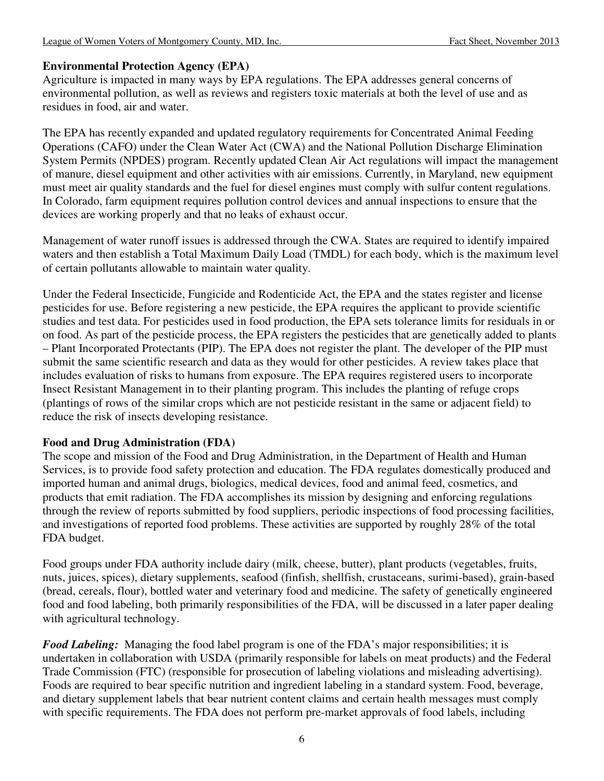#### **Environmental Protection Agency (EPA)**

Agriculture is impacted in many ways by EPA regulations. The EPA addresses general concerns of environmental pollution, as well as reviews and registers toxic materials at both the level of use and as residues in food, air and water.

The EPA has recently expanded and updated regulatory requirements for Concentrated Animal Feeding Operations (CAFO) under the Clean Water Act (CWA) and the National Pollution Discharge Elimination System Permits (NPDES) program. Recently updated Clean Air Act regulations will impact the management of manure, diesel equipment and other activities with air emissions. Currently, in Maryland, new equipment must meet air quality standards and the fuel for diesel engines must comply with sulfur content regulations. In Colorado, farm equipment requires pollution control devices and annual inspections to ensure that the devices are working properly and that no leaks of exhaust occur.

Management of water runoff issues is addressed through the CWA. States are required to identify impaired waters and then establish a Total Maximum Daily Load (TMDL) for each body, which is the maximum level of certain pollutants allowable to maintain water quality.

Under the Federal Insecticide, Fungicide and Rodenticide Act, the EPA and the states register and license pesticides for use. Before registering a new pesticide, the EPA requires the applicant to provide scientific studies and test data. For pesticides used in food production, the EPA sets tolerance limits for residuals in or on food. As part of the pesticide process, the EPA registers the pesticides that are genetically added to plants – Plant Incorporated Protectants (PIP). The EPA does not register the plant. The developer of the PIP must submit the same scientific research and data as they would for other pesticides. A review takes place that includes evaluation of risks to humans from exposure. The EPA requires registered users to incorporate Insect Resistant Management in to their planting program. This includes the planting of refuge crops (plantings of rows of the similar crops which are not pesticide resistant in the same or adjacent field) to reduce the risk of insects developing resistance.

#### **Food and Drug Administration (FDA)**

The scope and mission of the Food and Drug Administration, in the Department of Health and Human Services, is to provide food safety protection and education. The FDA regulates domestically produced and imported human and animal drugs, biologics, medical devices, food and animal feed, cosmetics, and products that emit radiation. The FDA accomplishes its mission by designing and enforcing regulations through the review of reports submitted by food suppliers, periodic inspections of food processing facilities, and investigations of reported food problems. These activities are supported by roughly 28% of the total FDA budget.

Food groups under FDA authority include dairy (milk, cheese, butter), plant products (vegetables, fruits, nuts, juices, spices), dietary supplements, seafood (finfish, shellfish, crustaceans, surimi-based), grain-based (bread, cereals, flour), bottled water and veterinary food and medicine. The safety of genetically engineered food and food labeling, both primarily responsibilities of the FDA, will be discussed in a later paper dealing with agricultural technology.

*Food Labeling:*Managing the food label program is one of the FDA's major responsibilities; it is undertaken in collaboration with USDA (primarily responsible for labels on meat products) and the Federal Trade Commission (FTC) (responsible for prosecution of labeling violations and misleading advertising). Foods are required to bear specific nutrition and ingredient labeling in a standard system. Food, beverage, and dietary supplement labels that bear nutrient content claims and certain health messages must comply with specific requirements. The FDA does not perform pre-market approvals of food labels, including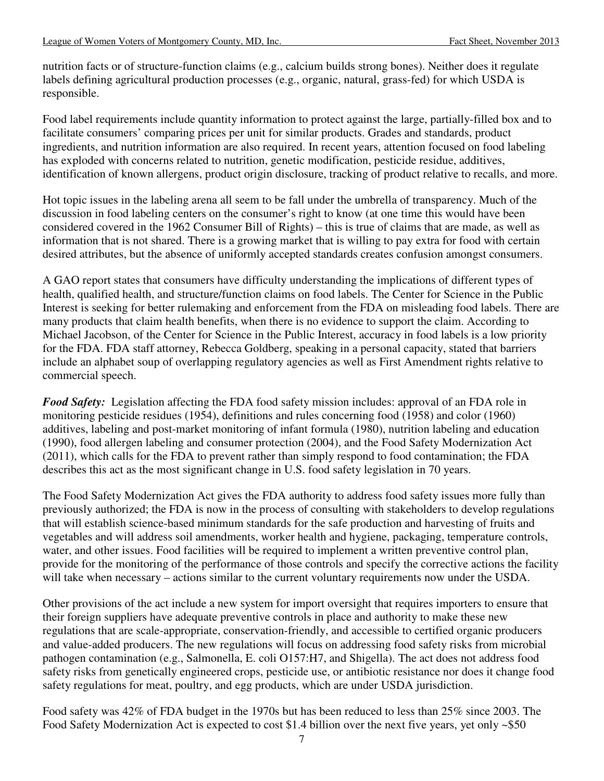nutrition facts or of structure-function claims (e.g., calcium builds strong bones). Neither does it regulate labels defining agricultural production processes (e.g., organic, natural, grass-fed) for which USDA is responsible.

Food label requirements include quantity information to protect against the large, partially-filled box and to facilitate consumers' comparing prices per unit for similar products. Grades and standards, product ingredients, and nutrition information are also required. In recent years, attention focused on food labeling has exploded with concerns related to nutrition, genetic modification, pesticide residue, additives, identification of known allergens, product origin disclosure, tracking of product relative to recalls, and more.

Hot topic issues in the labeling arena all seem to be fall under the umbrella of transparency. Much of the discussion in food labeling centers on the consumer's right to know (at one time this would have been considered covered in the 1962 Consumer Bill of Rights) – this is true of claims that are made, as well as information that is not shared. There is a growing market that is willing to pay extra for food with certain desired attributes, but the absence of uniformly accepted standards creates confusion amongst consumers.

A GAO report states that consumers have difficulty understanding the implications of different types of health, qualified health, and structure/function claims on food labels. The Center for Science in the Public Interest is seeking for better rulemaking and enforcement from the FDA on misleading food labels. There are many products that claim health benefits, when there is no evidence to support the claim. According to Michael Jacobson, of the Center for Science in the Public Interest, accuracy in food labels is a low priority for the FDA. FDA staff attorney, Rebecca Goldberg, speaking in a personal capacity, stated that barriers include an alphabet soup of overlapping regulatory agencies as well as First Amendment rights relative to commercial speech.

**Food Safety:** Legislation affecting the FDA food safety mission includes: approval of an FDA role in monitoring pesticide residues (1954), definitions and rules concerning food (1958) and color (1960) additives, labeling and post-market monitoring of infant formula (1980), nutrition labeling and education (1990), food allergen labeling and consumer protection (2004), and the Food Safety Modernization Act (2011), which calls for the FDA to prevent rather than simply respond to food contamination; the FDA describes this act as the most significant change in U.S. food safety legislation in 70 years.

The Food Safety Modernization Act gives the FDA authority to address food safety issues more fully than previously authorized; the FDA is now in the process of consulting with stakeholders to develop regulations that will establish science-based minimum standards for the safe production and harvesting of fruits and vegetables and will address soil amendments, worker health and hygiene, packaging, temperature controls, water, and other issues. Food facilities will be required to implement a written preventive control plan, provide for the monitoring of the performance of those controls and specify the corrective actions the facility will take when necessary – actions similar to the current voluntary requirements now under the USDA.

Other provisions of the act include a new system for import oversight that requires importers to ensure that their foreign suppliers have adequate preventive controls in place and authority to make these new regulations that are scale-appropriate, conservation-friendly, and accessible to certified organic producers and value-added producers. The new regulations will focus on addressing food safety risks from microbial pathogen contamination (e.g., Salmonella, E. coli O157:H7, and Shigella). The act does not address food safety risks from genetically engineered crops, pesticide use, or antibiotic resistance nor does it change food safety regulations for meat, poultry, and egg products, which are under USDA jurisdiction.

Food safety was 42% of FDA budget in the 1970s but has been reduced to less than 25% since 2003. The Food Safety Modernization Act is expected to cost \$1.4 billion over the next five years, yet only ~\$50